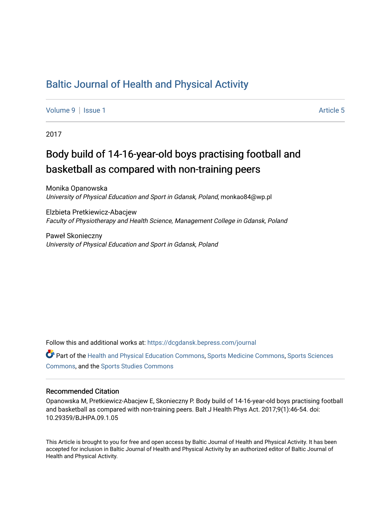## [Baltic Journal of Health and Physical Activity](https://dcgdansk.bepress.com/journal)

[Volume 9](https://dcgdansk.bepress.com/journal/vol9) | [Issue 1](https://dcgdansk.bepress.com/journal/vol9/iss1) Article 5

2017

# Body build of 14-16-year-old boys practising football and basketball as compared with non-training peers

Monika Opanowska University of Physical Education and Sport in Gdansk, Poland, monkao84@wp.pl

Elzbieta Pretkiewicz-Abacjew Faculty of Physiotherapy and Health Science, Management College in Gdansk, Poland

Paweł Skonieczny University of Physical Education and Sport in Gdansk, Poland

Follow this and additional works at: [https://dcgdansk.bepress.com/journal](https://dcgdansk.bepress.com/journal?utm_source=dcgdansk.bepress.com%2Fjournal%2Fvol9%2Fiss1%2F5&utm_medium=PDF&utm_campaign=PDFCoverPages)

Part of the [Health and Physical Education Commons](http://network.bepress.com/hgg/discipline/1327?utm_source=dcgdansk.bepress.com%2Fjournal%2Fvol9%2Fiss1%2F5&utm_medium=PDF&utm_campaign=PDFCoverPages), [Sports Medicine Commons,](http://network.bepress.com/hgg/discipline/1331?utm_source=dcgdansk.bepress.com%2Fjournal%2Fvol9%2Fiss1%2F5&utm_medium=PDF&utm_campaign=PDFCoverPages) [Sports Sciences](http://network.bepress.com/hgg/discipline/759?utm_source=dcgdansk.bepress.com%2Fjournal%2Fvol9%2Fiss1%2F5&utm_medium=PDF&utm_campaign=PDFCoverPages) [Commons](http://network.bepress.com/hgg/discipline/759?utm_source=dcgdansk.bepress.com%2Fjournal%2Fvol9%2Fiss1%2F5&utm_medium=PDF&utm_campaign=PDFCoverPages), and the [Sports Studies Commons](http://network.bepress.com/hgg/discipline/1198?utm_source=dcgdansk.bepress.com%2Fjournal%2Fvol9%2Fiss1%2F5&utm_medium=PDF&utm_campaign=PDFCoverPages) 

#### Recommended Citation

Opanowska M, Pretkiewicz-Abacjew E, Skonieczny P. Body build of 14-16-year-old boys practising football and basketball as compared with non-training peers. Balt J Health Phys Act. 2017;9(1):46-54. doi: 10.29359/BJHPA.09.1.05

This Article is brought to you for free and open access by Baltic Journal of Health and Physical Activity. It has been accepted for inclusion in Baltic Journal of Health and Physical Activity by an authorized editor of Baltic Journal of Health and Physical Activity.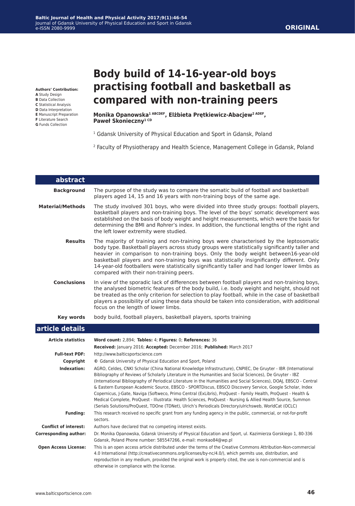#### **ORIGINAL**

**Authors' Contribution: A** Study Design

- **B** Data Collection
- **C** Statistical Analysis
- **D** Data Interpretation
- **E** Manuscript Preparation
- **F** Literature Search **G** Funds Collection

# **Body build of 14-16-year-old boys practising football and basketball as compared with non-training peers**

**Monika Opanowska1 ABCDEF, Elżbieta Prętkiewicz-Abacjew2 ADEF, Paweł Skonieczny1 CD**

- <sup>1</sup> Gdansk University of Physical Education and Sport in Gdansk, Poland
- 2 Faculty of Physiotherapy and Health Science, Management College in Gdansk, Poland

| abstract                     |                                                                                                                                                                                                                                                                                                                                                                                                                                                                                                                                                                                                                                                                                                                                                                                                      |
|------------------------------|------------------------------------------------------------------------------------------------------------------------------------------------------------------------------------------------------------------------------------------------------------------------------------------------------------------------------------------------------------------------------------------------------------------------------------------------------------------------------------------------------------------------------------------------------------------------------------------------------------------------------------------------------------------------------------------------------------------------------------------------------------------------------------------------------|
| <b>Background</b>            | The purpose of the study was to compare the somatic build of football and basketball<br>players aged 14, 15 and 16 years with non-training boys of the same age.                                                                                                                                                                                                                                                                                                                                                                                                                                                                                                                                                                                                                                     |
| <b>Material/Methods</b>      | The study involved 301 boys, who were divided into three study groups: football players,<br>basketball players and non-training boys. The level of the boys' somatic development was<br>established on the basis of body weight and height measurements, which were the basis for<br>determining the BMI and Rohrer's index. In addition, the functional lengths of the right and<br>the left lower extremity were studied.                                                                                                                                                                                                                                                                                                                                                                          |
| <b>Results</b>               | The majority of training and non-training boys were characterised by the leptosomatic<br>body type. Basketball players across study groups were statistically significantly taller and<br>heavier in comparison to non-training boys. Only the body weight between16-year-old<br>basketball players and non-training boys was statistically insignificantly different. Only<br>14-year-old footballers were statistically significantly taller and had longer lower limbs as<br>compared with their non-training peers.                                                                                                                                                                                                                                                                              |
| <b>Conclusions</b>           | In view of the sporadic lack of differences between football players and non-training boys,<br>the analysed biometric features of the body build, i.e. body weight and height, should not<br>be treated as the only criterion for selection to play football, while in the case of basketball<br>players a possibility of using these data should be taken into consideration, with additional<br>focus on the length of lower limbs.                                                                                                                                                                                                                                                                                                                                                                |
| Key words                    | body build, football players, basketball players, sports training                                                                                                                                                                                                                                                                                                                                                                                                                                                                                                                                                                                                                                                                                                                                    |
| article details              |                                                                                                                                                                                                                                                                                                                                                                                                                                                                                                                                                                                                                                                                                                                                                                                                      |
| <b>Article statistics</b>    | Word count: 2,894; Tables: 4; Figures: 0; References: 36                                                                                                                                                                                                                                                                                                                                                                                                                                                                                                                                                                                                                                                                                                                                             |
|                              | Received: January 2016; Accepted: December 2016; Published: March 2017                                                                                                                                                                                                                                                                                                                                                                                                                                                                                                                                                                                                                                                                                                                               |
| <b>Full-text PDF:</b>        | http://www.balticsportscience.com                                                                                                                                                                                                                                                                                                                                                                                                                                                                                                                                                                                                                                                                                                                                                                    |
| Copyright                    | © Gdansk University of Physical Education and Sport, Poland                                                                                                                                                                                                                                                                                                                                                                                                                                                                                                                                                                                                                                                                                                                                          |
| Indexation:                  | AGRO, Celdes, CNKI Scholar (China National Knowledge Infrastructure), CNPIEC, De Gruyter - IBR (International<br>Bibliography of Reviews of Scholarly Literature in the Humanities and Social Sciences), De Gruyter - IBZ<br>(International Bibliography of Periodical Literature in the Humanities and Social Sciences), DOAJ, EBSCO - Central<br>& Eastern European Academic Source, EBSCO - SPORTDiscus, EBSCO Discovery Service, Google Scholar, Index<br>Copernicus, J-Gate, Naviga (Softweco, Primo Central (ExLibris), ProQuest - Family Health, ProQuest - Health &<br>Medical Complete, ProQuest - Illustrata: Health Sciences, ProQuest - Nursing & Allied Health Source, Summon<br>(Serials Solutions/ProQuest, TDOne (TDNet), Ulrich's Periodicals Directory/ulrichsweb, WorldCat (OCLC) |
| <b>Funding:</b>              | This research received no specific grant from any funding agency in the public, commercial, or not-for-profit<br>sectors.                                                                                                                                                                                                                                                                                                                                                                                                                                                                                                                                                                                                                                                                            |
| <b>Conflict of interest:</b> | Authors have declared that no competing interest exists.                                                                                                                                                                                                                                                                                                                                                                                                                                                                                                                                                                                                                                                                                                                                             |
| <b>Corresponding author:</b> | Dr. Monika Opanowska, Gdansk University of Physical Education and Sport, ul. Kazimierza Gorskiego 1, 80-336<br>Gdansk, Poland Phone number: 585547266, e-mail: monkao84@wp.pl                                                                                                                                                                                                                                                                                                                                                                                                                                                                                                                                                                                                                        |
| <b>Open Access License:</b>  | This is an open access article distributed under the terms of the Creative Commons Attribution-Non-commercial<br>4.0 International (http://creativecommons.org/licenses/by-nc/4.0/), which permits use, distribution, and<br>reproduction in any medium, provided the original work is properly cited, the use is non-commercial and is<br>otherwise in compliance with the license.                                                                                                                                                                                                                                                                                                                                                                                                                 |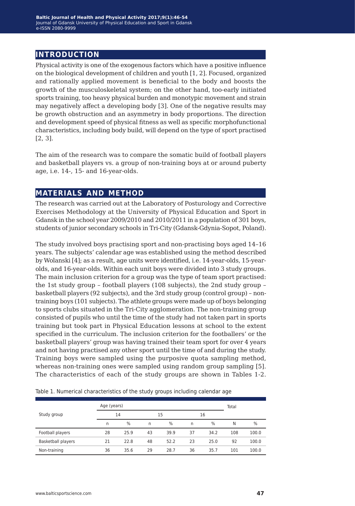### **introduction**

Physical activity is one of the exogenous factors which have a positive influence on the biological development of children and youth [1, 2]. Focused, organized and rationally applied movement is beneficial to the body and boosts the growth of the musculoskeletal system; on the other hand, too-early initiated sports training, too heavy physical burden and monotypic movement and strain may negatively affect a developing body [3]. One of the negative results may be growth obstruction and an asymmetry in body proportions. The direction and development speed of physical fitness as well as specific morphofunctional characteristics, including body build, will depend on the type of sport practised [2, 3].

The aim of the research was to compare the somatic build of football players and basketball players vs. a group of non-training boys at or around puberty age, i.e. 14-, 15- and 16-year-olds.

#### **materials and method**

The research was carried out at the Laboratory of Posturology and Corrective Exercises Methodology at the University of Physical Education and Sport in Gdansk in the school year 2009/2010 and 2010/2011 in a population of 301 boys, students of junior secondary schools in Tri-City (Gdansk-Gdynia-Sopot, Poland).

The study involved boys practising sport and non-practising boys aged 14–16 years. The subjects' calendar age was established using the method described by Wolanski [4]; as a result, age units were identified, i.e. 14-year-olds, 15-yearolds, and 16-year-olds. Within each unit boys were divided into 3 study groups. The main inclusion criterion for a group was the type of team sport practised: the 1st study group – football players (108 subjects), the 2nd study group – basketball players (92 subjects), and the 3rd study group (control group) – nontraining boys (101 subjects). The athlete groups were made up of boys belonging to sports clubs situated in the Tri-City agglomeration. The non-training group consisted of pupils who until the time of the study had not taken part in sports training but took part in Physical Education lessons at school to the extent specified in the curriculum. The inclusion criterion for the footballers' or the basketball players' group was having trained their team sport for over 4 years and not having practised any other sport until the time of and during the study. Training boys were sampled using the purposive quota sampling method, whereas non-training ones were sampled using random group sampling [5]. The characteristics of each of the study groups are shown in Tables 1-2.

|                           | Age (years) |      |    |      |    |      | Total |       |
|---------------------------|-------------|------|----|------|----|------|-------|-------|
| Study group               | 14          |      | 15 |      | 16 |      |       |       |
|                           | n           | %    | n  | %    | n  | $\%$ | N     | %     |
| Football players          | 28          | 25.9 | 43 | 39.9 | 37 | 34.2 | 108   | 100.0 |
| <b>Basketball players</b> | 21          | 22.8 | 48 | 52.2 | 23 | 25.0 | 92    | 100.0 |
| Non-training              | 36          | 35.6 | 29 | 28.7 | 36 | 35.7 | 101   | 100.0 |

Table 1. Numerical characteristics of the study groups including calendar age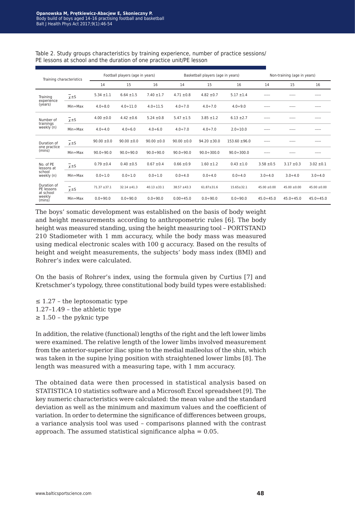| Training characteristics                                                                                      |                | Football players (age in years) |                  |                  | Basketball players (age in years) |                   |                   | Non-training (age in years) |                  |                  |
|---------------------------------------------------------------------------------------------------------------|----------------|---------------------------------|------------------|------------------|-----------------------------------|-------------------|-------------------|-----------------------------|------------------|------------------|
|                                                                                                               |                | 14                              | 15               | 16               | 14                                | 15                | 16                | 14                          | 15               | 16               |
| Training<br>experience<br>(years)                                                                             | $x \pm S$      | $5.34 \pm 1.1$                  | $6.64 \pm 1.5$   | $7.40 \pm 1.7$   | $4.71 \pm 0.8$                    | $4.82 \pm 0.7$    | $5.17 \pm 1.4$    | -----                       |                  |                  |
|                                                                                                               | $Min \div Max$ | $4.0 \div 8.0$                  | $4.0 \div 11.0$  | $4.0 \div 11.5$  | $4.0 \div 7.0$                    | $4.0 \div 7.0$    | $4.0 \div 9.0$    | -----                       | $- - - -$        | -----            |
| Number of<br>trainings<br>weekly (n)                                                                          | $x \pm S$      | $4.00 \pm 0.0$                  | $4.42 \pm 0.6$   | $5.24 \pm 0.8$   | $5.47 \pm 1.5$                    | $3.85 \pm 1.2$    | $6.13 \pm 2.7$    | -----                       | -----            | -----            |
|                                                                                                               | $Min \div Max$ | $4.0 \div 4.0$                  | $4.0 \div 6.0$   | $4.0 \div 6.0$   | $4.0 \div 7.0$                    | $4.0 \div 7.0$    | $2.0 \div 10.0$   | -----                       | -----            | -----            |
| Duration of<br>one practice<br>(mins)                                                                         | $x \pm S$      | $90.00 \pm 0.0$                 | $90.00 \pm 0.0$  | $90.00 \pm 0.0$  | $90.00 \pm 0.0$                   | $94.20 \pm 30.0$  | $153.60 + 96.0$   | -----                       |                  | -----            |
|                                                                                                               | $Min \div Max$ | $90.0 \div 90.0$                | $90.0 \div 90.0$ | $90.0 \div 90.0$ | $90.0 \div 90.0$                  | $90.0 \div 300.0$ | $90.0 \div 300.0$ | -----                       | -----            | -----            |
| No. of PE<br>lessons at<br>school<br>weekly (n)<br>Duration of<br>PE lessons<br>at school<br>weekly<br>(mins) | $x \pm S$      | $0.79 \pm 0.4$                  | $0.40 \pm 0.5$   | $0.67 \pm 0.4$   | $0.66 \pm 0.9$                    | $1.60 \pm 1.2$    | $0.43 \pm 1.0$    | $3.58 \pm 0.5$              | $3.17 \pm 0.3$   | $3.02 \pm 0.1$   |
|                                                                                                               | $Min \div Max$ | $0.0 \div 1.0$                  | $0.0 \div 1.0$   | $0.0 \div 1.0$   | $0.0 \div 4.0$                    | $0.0 \div 4.0$    | $0.0 + 4.0$       | $3.0 \div 4.0$              | $3.0 \div 4.0$   | $3.0 \div 4.0$   |
|                                                                                                               | $x \pm S$      | $71.37 + 37.1$                  | $32.14 \pm 41.3$ | $40.13 \pm 33.1$ | $38.57 + 43.3$                    | $61.87 \pm 31.6$  | $15.65 \pm 32.1$  | $45.00 \pm 0.00$            | $45.00 \pm 0.00$ | $45.00 \pm 0.00$ |
|                                                                                                               | $Min \div Max$ | $0.0 \div 90.0$                 | $0.0 \div 90.0$  | $0.0 \div 90.0$  | $0.00 \div 45.0$                  | $0.0 \div 90.0$   | $0.0 \div 90.0$   | $45.0 \div 45.0$            | $45.0 \div 45.0$ | $45.0 \div 45.0$ |

Table 2. Study groups characteristics by training experience, number of practice sessions/ PE lessons at school and the duration of one practice unit/PE lesson

The boys' somatic development was established on the basis of body weight and height measurements according to anthropometric rules [6]. The body height was measured standing, using the height measuring tool – PORTSTAND 210 Stadiometer with 1 mm accuracy, while the body mass was measured using medical electronic scales with 100 g accuracy. Based on the results of height and weight measurements, the subjects' body mass index (BMI) and Rohrer's index were calculated.

On the basis of Rohrer's index, using the formula given by Curtius [7] and Kretschmer's typology, three constitutional body build types were established:

 $\leq$  1.27 - the leptosomatic type 1.27–1.49 – the athletic type  $\geq 1.50$  – the pyknic type

In addition, the relative (functional) lengths of the right and the left lower limbs were examined. The relative length of the lower limbs involved measurement from the anterior-superior iliac spine to the medial malleolus of the shin, which was taken in the supine lying position with straightened lower limbs [8]. The length was measured with a measuring tape, with 1 mm accuracy.

The obtained data were then processed in statistical analysis based on STATISTICA 10 statistics software and a Microsoft Excel spreadsheet [9]. The key numeric characteristics were calculated: the mean value and the standard deviation as well as the minimum and maximum values and the coefficient of variation. In order to determine the significance of differences between groups, a variance analysis tool was used – comparisons planned with the contrast approach. The assumed statistical significance alpha  $= 0.05$ .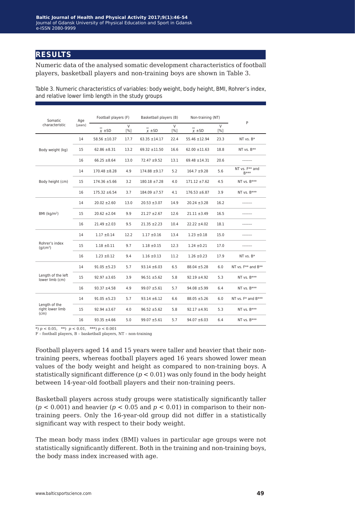### **results**

Numeric data of the analysed somatic development characteristics of football players, basketball players and non-training boys are shown in Table 3.

Table 3. Numeric characteristics of variables: body weight, body height, BMI, Rohrer's index, and relative lower limb length in the study groups

| Somatic                                   | Age     | Football players (F) |               | Basketball players (B) |      | Non-training (NT)           |      |                          |  |
|-------------------------------------------|---------|----------------------|---------------|------------------------|------|-----------------------------|------|--------------------------|--|
| characteristic                            | [years] | $x \pm SD$           | $\vee$<br>[%] | $x \pm SD$             |      | $\vee$<br>[%]<br>$x \pm SD$ |      | P                        |  |
|                                           | 14      | $58.56 \pm 10.37$    | 17.7          | $63.35 + 14.17$        | 22.4 | $55.46 \pm 12.94$           | 23.3 | $NT vs. B*$              |  |
| Body weight (kg)                          | 15      | $62.86 \pm 8.31$     | 13.2          | 69.32 ±11.50           | 16.6 | $62.00 \pm 11.63$           | 18.8 | NT vs. B**               |  |
|                                           | 16      | $66.25 \pm 8.64$     | 13.0          | $72.47 \pm 9.52$       | 13.1 | $69.48 \pm 14.31$           | 20.6 |                          |  |
|                                           | 14      | $170.48 \pm 8.28$    | 4.9           | $174.88 \pm 9.17$      | 5.2  | $164.7 + 9.28$              | 5.6  | NT vs. F** and<br>$B***$ |  |
| Body height (cm)                          | 15      | $174.36 \pm 5.66$    | 3.2           | $180.18 \pm 7.28$      | 4.0  | $171.12 \pm 7.62$           | 4.5  | NT vs. B***              |  |
|                                           | 16      | $175.32 \pm 6.54$    | 3.7           | $184.09 \pm 7.57$      | 4.1  | $176.53 \pm 6.87$           | 3.9  | NT vs. B***              |  |
| BMI ( $kg/m2$ )                           | 14      | $20.02 \pm 2.60$     | 13.0          | $20.53 \pm 3.07$       | 14.9 | $20.24 \pm 3.28$            | 16.2 |                          |  |
|                                           | 15      | $20.62 \pm 2.04$     | 9.9           | $21.27 + 2.67$         | 12.6 | $21.11 \pm 3.49$            | 16.5 |                          |  |
|                                           | 16      | $21.49 \pm 2.03$     | 9.5           | $21.35 \pm 2.23$       | 10.4 | $22.22 \pm 4.02$            | 18.1 |                          |  |
| Rohrer's index<br>(g/cm <sup>3</sup> )    | 14      | $1.17 \pm 0.14$      | 12.2          | $1.17 \pm 0.16$        | 13.4 | $1.23 \pm 0.18$             | 15.0 |                          |  |
|                                           | 15      | $1.18 \pm 0.11$      | 9.7           | $1.18 \pm 0.15$        | 12.3 | $1.24 \pm 0.21$             | 17.0 |                          |  |
|                                           | 16      | $1.23 \pm 0.12$      | 9.4           | $1.16 \pm 0.13$        | 11.2 | $1.26 \pm 0.23$             | 17.9 | NT vs. B*                |  |
| Length of the left<br>lower limb (cm)     | 14      | $91.05 \pm 5.23$     | 5.7           | $93.14 \pm 6.03$       | 6.5  | 88.04 ±5.28                 | 6.0  | NT vs. F** and B**       |  |
|                                           | 15      | $92.97 \pm 3.65$     | 3.9           | $96.51 \pm 5.62$       | 5.8  | $92.19 \pm 4.92$            | 5.3  | NT vs. B***              |  |
|                                           | 16      | $93.37 + 4.58$       | 4.9           | $99.07 + 5.61$         | 5.7  | $94.08 + 5.99$              | 6.4  | NT vs. B***              |  |
| Length of the<br>right lower limb<br>(cm) | 14      | $91.05 \pm 5.23$     | 5.7           | $93.14 \pm 6.12$       | 6.6  | $88.05 \pm 5.26$            | 6.0  | NT vs. F* and B***       |  |
|                                           | 15      | $92.94 \pm 3.67$     | 4.0           | $96.52 \pm 5.62$       | 5.8  | $92.17 \pm 4.91$            | 5.3  | NT vs. B***              |  |
|                                           | 16      | $93.35 + 4.66$       | 5.0           | $99.07 + 5.61$         | 5.7  | $94.07 \pm 6.03$            | 6.4  | NT vs. B***              |  |

\*) *p* < 0.05, \*\*) *p* < 0.01, \*\*\*) *p* < 0.001

F – football players, B – basketball players, NT – non-training

Football players aged 14 and 15 years were taller and heavier that their nontraining peers, whereas football players aged 16 years showed lower mean values of the body weight and height as compared to non-training boys. A statistically significant difference  $(p < 0.01)$  was only found in the body height between 14-year-old football players and their non-training peers.

Basketball players across study groups were statistically significantly taller  $(p < 0.001)$  and heavier  $(p < 0.05$  and  $p < 0.01)$  in comparison to their nontraining peers. Only the 16-year-old group did not differ in a statistically significant way with respect to their body weight.

The mean body mass index (BMI) values in particular age groups were not statistically significantly different. Both in the training and non-training boys, the body mass index increased with age.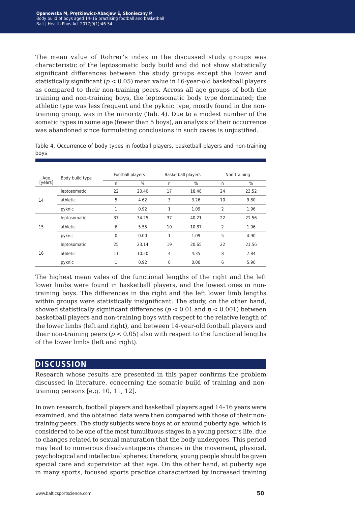The mean value of Rohrer's index in the discussed study groups was characteristic of the leptosomatic body build and did not show statistically significant differences between the study groups except the lower and statistically significant (*p* < 0.05) mean value in 16-year-old basketball players as compared to their non-training peers. Across all age groups of both the training and non-training boys, the leptosomatic body type dominated; the athletic type was less frequent and the pyknic type, mostly found in the nontraining group, was in the minority (Tab. 4). Due to a modest number of the somatic types in some age (fewer than 5 boys), an analysis of their occurrence was abandoned since formulating conclusions in such cases is unjustified.

| Age     | Body build type |             | Football players |              | Basketball players | Non-training   |       |  |
|---------|-----------------|-------------|------------------|--------------|--------------------|----------------|-------|--|
| [years] |                 | n           | %                | n            | %                  | n              | %     |  |
| 14      | leptosomatic    | 22          | 20.40            | 17           | 18.48              | 24             | 23.52 |  |
|         | athletic        | 5           | 4.62             | 3            | 3.26               | 10             | 9.80  |  |
|         | pyknic          | 1           | 0.92             | 1            | 1.09               | $\overline{2}$ | 1.96  |  |
| 15      | leptosomatic    | 37          | 34.25            | 37           | 40.21              | 22             | 21.56 |  |
|         | athletic        | 6           | 5.55             | 10           | 10.87              | $\overline{2}$ | 1.96  |  |
|         | pyknic          | $\mathbf 0$ | 0.00             | 1            | 1.09               | 5              | 4.90  |  |
| 16      | leptosomatic    | 25          | 23.14            | 19           | 20.65              | 22             | 21.56 |  |
|         | athletic        | 11          | 10.20            | 4            | 4.35               | 8              | 7.84  |  |
|         | pyknic          | 1           | 0.92             | $\mathbf{0}$ | 0.00               | 6              | 5.90  |  |

Table 4. Occurrence of body types in football players, basketball players and non-training boys

The highest mean vales of the functional lengths of the right and the left lower limbs were found in basketball players, and the lowest ones in nontraining boys. The differences in the right and the left lower limb lengths within groups were statistically insignificant. The study, on the other hand, showed statistically significant differences ( $p < 0.01$  and  $p < 0.001$ ) between basketball players and non-training boys with respect to the relative length of the lower limbs (left and right), and between 14-year-old football players and their non-training peers ( $p < 0.05$ ) also with respect to the functional lengths of the lower limbs (left and right).

#### **discussion**

Research whose results are presented in this paper confirms the problem discussed in literature, concerning the somatic build of training and nontraining persons [e.g. 10, 11, 12].

In own research, football players and basketball players aged 14–16 years were examined, and the obtained data were then compared with those of their nontraining peers. The study subjects were boys at or around puberty age, which is considered to be one of the most tumultuous stages in a young person's life, due to changes related to sexual maturation that the body undergoes. This period may lead to numerous disadvantageous changes in the movement, physical, psychological and intellectual spheres; therefore, young people should be given special care and supervision at that age. On the other hand, at puberty age in many sports, focused sports practice characterized by increased training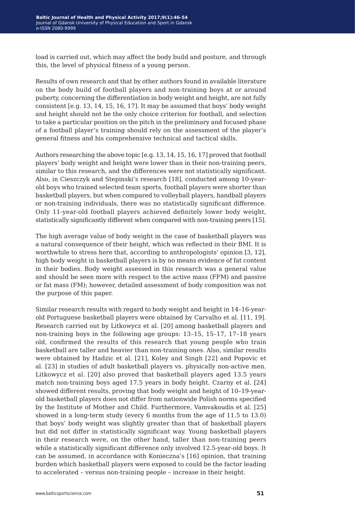load is carried out, which may affect the body build and posture, and through this, the level of physical fitness of a young person.

Results of own research and that by other authors found in available literature on the body build of football players and non-training boys at or around puberty, concerning the differentiation in body weight and height, are not fully consistent [e.g. 13, 14, 15, 16, 17]. It may be assumed that boys' body weight and height should not be the only choice criterion for football, and selection to take a particular position on the pitch in the preliminary and focused phase of a football player's training should rely on the assessment of the player's general fitness and his comprehensive technical and tactical skills.

Authors researching the above topic [e.g. 13, 14, 15, 16, 17] proved that football players' body weight and height were lower than in their non-training peers, similar to this research, and the differences were not statistically significant. Also, in Cieszczyk and Stepinski's research [18], conducted among 10-yearold boys who trained selected team sports, football players were shorter than basketball players, but when compared to volleyball players, handball players or non-training individuals, there was no statistically significant difference. Only 11-year-old football players achieved definitely lower body weight, statistically significantly different when compared with non-training peers [15].

The high average value of body weight in the case of basketball players was a natural consequence of their height, which was reflected in their BMI. It is worthwhile to stress here that, according to anthropologists' opinion [3, 12], high body weight in basketball players is by no means evidence of fat content in their bodies. Body weight assessed in this research was a general value and should be seen more with respect to the active mass (FFM) and passive or fat mass (FM); however, detailed assessment of body composition was not the purpose of this paper.

Similar research results with regard to body weight and height in 14–16-yearold Portuguese basketball players were obtained by Carvalho et al. [11, 19]. Research carried out by Litkowycz et al. [20] among basketball players and non-training boys in the following age groups: 13–15, 15–17, 17–18 years old, confirmed the results of this research that young people who train basketball are taller and heavier than non-training ones. Also, similar results were obtained by Hadzic et al. [21], Koley and Singh [22] and Popovic et al. [23] in studies of adult basketball players vs. physically non-active men. Litkowycz et al. [20] also proved that basketball players aged 13.5 years match non-training boys aged 17.5 years in body height. Czarny et al. [24] showed different results, proving that body weight and height of 10–19-yearold basketball players does not differ from nationwide Polish norms specified by the Institute of Mother and Child. Furthermore, Vamvakoudis et al. [25] showed in a long-term study (every 6 months from the age of 11.5 to 13.0) that boys' body weight was slightly greater than that of basketball players but did not differ in statistically significant way. Young basketball players in their research were, on the other hand, taller than non-training peers while a statistically significant difference only involved 12.5-year-old boys. It can be assumed, in accordance with Konieczna's [16] opinion, that training burden which basketball players were exposed to could be the factor leading to accelerated – versus non-training people – increase in their height.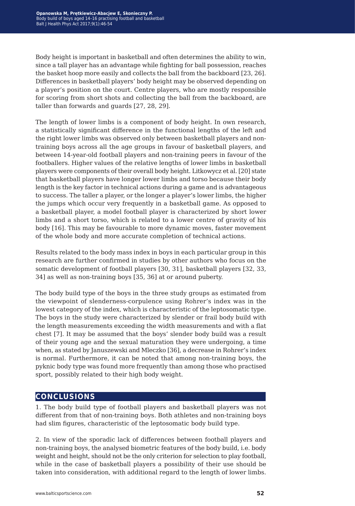Body height is important in basketball and often determines the ability to win, since a tall player has an advantage while fighting for ball possession, reaches the basket hoop more easily and collects the ball from the backboard [23, 26]. Differences in basketball players' body height may be observed depending on a player's position on the court. Centre players, who are mostly responsible for scoring from short shots and collecting the ball from the backboard, are taller than forwards and guards [27, 28, 29].

The length of lower limbs is a component of body height. In own research, a statistically significant difference in the functional lengths of the left and the right lower limbs was observed only between basketball players and nontraining boys across all the age groups in favour of basketball players, and between 14-year-old football players and non-training peers in favour of the footballers. Higher values of the relative lengths of lower limbs in basketball players were components of their overall body height. Litkowycz et al. [20] state that basketball players have longer lower limbs and torso because their body length is the key factor in technical actions during a game and is advantageous to success. The taller a player, or the longer a player's lower limbs, the higher the jumps which occur very frequently in a basketball game. As opposed to a basketball player, a model football player is characterized by short lower limbs and a short torso, which is related to a lower centre of gravity of his body [16]. This may be favourable to more dynamic moves, faster movement of the whole body and more accurate completion of technical actions.

Results related to the body mass index in boys in each particular group in this research are further confirmed in studies by other authors who focus on the somatic development of football players [30, 31], basketball players [32, 33, 34] as well as non-training boys [35, 36] at or around puberty.

The body build type of the boys in the three study groups as estimated from the viewpoint of slenderness-corpulence using Rohrer's index was in the lowest category of the index, which is characteristic of the leptosomatic type. The boys in the study were characterized by slender or frail body build with the length measurements exceeding the width measurements and with a flat chest [7]. It may be assumed that the boys' slender body build was a result of their young age and the sexual maturation they were undergoing, a time when, as stated by Januszewski and Mleczko [36], a decrease in Rohrer's index is normal. Furthermore, it can be noted that among non-training boys, the pyknic body type was found more frequently than among those who practised sport, possibly related to their high body weight.

#### **conclusions**

1. The body build type of football players and basketball players was not different from that of non-training boys. Both athletes and non-training boys had slim figures, characteristic of the leptosomatic body build type.

2. In view of the sporadic lack of differences between football players and non-training boys, the analysed biometric features of the body build, i.e. body weight and height, should not be the only criterion for selection to play football, while in the case of basketball players a possibility of their use should be taken into consideration, with additional regard to the length of lower limbs.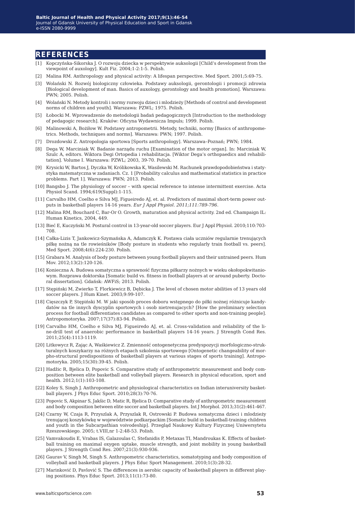#### **references**

- [1] Kopczyńska-Sikorska J. O rozwoju dziecka w perspektywie auksologii [Child's development from the viewpoint of auxology]. Kult Fiz. 2004;1-2:1-5. Polish.
- [2] Malina RM. Anthropology and physical activity: A lifespan perspective. Med Sport. 2001;5:69-75.
- [3] Wolański N. Rozwój biologiczny człowieka. Podstawy auksologii, gerontologii i promocji zdrowia [Biological development of man. Basics of auxology, gerontology and health promotion]. Warszawa: PWN; 2005. Polish.
- [4] Wolański N. Metody kontroli i normy rozwoju dzieci i mlodzieży [Methods of control and development norms of children and youth]. Warszawa: PZWL; 1975. Polish.
- [5] Łobocki M. Wprowadzenie do metodologii badań pedagogicznych [Introduction to the methodology of pedagogic research]. Kraków: Oficyna Wydawnicza Impuls; 1999. Polish.
- [6] Malinowski A, Bożiłow W. Podstawy antropometrii. Metody, techniki, normy [Basics of anthropometrics. Methods, techniques and norms]. Warszawa: PWN; 1997. Polish.
- [7] Drozdowski Z. Antropologia sportowa [Sports anthropology]. Warszawa–Poznań; PWN; 1984.
- [8] Dega W, Marciniak W. Badanie narządu ruchu [Examination of the motor organ]. In: Marciniak W, Szulc A, editors. Wiktora Degi Ortopedia i rehabilitacja. [Wiktor Dega's orthopaedics and rehabilitation]. Volume I. Warszawa: PZWL; 2003, 39-70. Polish.
- [9] Krysicki W, Bartos J, Dyczka W, Królikowska K, Wasilewski M. Rachunek prawdopodobieństwa i statystyka matematyczna w zadaniach. Cz. 1 [Probability calculus and mathematical statistics in practice problems. Part 1]. Warszawa: PWN; 2013. Polish.
- [10] Bangsbo J. The physiology of soccer with special reference to intense intermittent exercise. Acta Physiol Scand. 1994;619(Suppl):1-115.
- [11] Carvalho HM, Coelho e Silva MJ, Figueiredo AJ, et. al. Predictors of maximal short-term power outputs in basketball players 14-16 years. *Eur J Appl Physiol. 2011;111:789-796.*
- [12] Malina RM, Bouchard C, Bar-Or O. Growth, maturation and physical activity. 2nd ed. Champaign IL: Human Kinetics, 2004, 449.
- [13] Bieć E, Kuczyński M. Postural control in 13-year-old soccer players. Eur J Appl Physiol. 2010;110:703- 708.
- [14] Całka-Lizis T, Jankowicz-Szymańska A, Adamczyk K. Postawa ciała uczniów regularnie trenujących piłkę nożną na tle rowieśników [Body posture in students who regularly train football vs. peers]. Med Sport. 2008;4(6):224-230. Polish.
- [15] Grabara M. Analysis of body posture between young football players and their untrained peers. Hum Mov. 2012;13(2):120-126.
- [16] Konieczna A. Budowa somatyczna a sprawność fizyczna piłkarzy nożnych w wieku okołopokwitaniowym. Rozprawa doktorska [Somatic build vs. fitness in football players at or around puberty. Doctoral dissertation]. Gdańsk: AWFiS; 2013. Polish.
- [17] Stępiński M, Zwierko T, Florkiewicz B, Dębicka J. The level of chosen motor abilities of 13 years old soccer players. J Hum Kinet. 2003;9:99-107.
- [18] Cięszczyk P, Stępiński M. W jaki sposób proces doboru wstępnego do piłki nożnej różnicuje kandydatów na tle innych dyscyplin sportowych i osob nietrenujacych? [How the preliminary selection process for football differentiates candidates as compared to other sports and non-training people]. Antropomotoryka. 2007;17(37):83-94. Polish.
- [19] Carvalho HM, Coelho e Silva MJ, Figueiredo AJ, et. al. Cross-validation and reliability of the line-drill test of anaerobic performance in basketball players 14-16 years. J Strength Cond Res. 2011;25(4):1113-1119.
- [20] Litkowycz R, Zając A, Waśkiewicz Z. Zmienność ontogenetyczna predyspozycji morfologiczno-strukturalnych koszykarzy na różnych etapach szkolenia sportowego [Ontogenetic changeability of morpho-structural predispositions of basketball players at various stages of sports training]. Antropomotoryka. 2005;15(30):39-45. Polish.
- [21] Hadžic R, Bjelica D, Popovic S. Comparative study of anthropometric measurement and body composition between elite basketball and volleyball players. Research in physical education, sport and health. 2012;1(1):103-108.
- [22] Koley S, Singh J. Anthropometric and physiological characteristics on Indian interuniversity basketball players. J Phys Educ Sport. 2010;28(3):70-76.
- [23] Popovic S, Akpinar S, Jakšic D, Matic R, Bjelica D. Comparative study of anthropometric measurement and body composition between elite soccer and basketball players. Int J Morphol. 2013;31(2):461-467.
- [24] Czarny W, Czaja R, Przyszlak A, Przyszlak R, Ostrowski P. Budowa somatyczna dzieci i mlodzieży trenującej koszykówkę w województwie podkarpackim [Somatic build in basketball-training children and youth in the Subcarpathian voivodeship]. Przegląd Naukowy Kultury Fizycznej Uniwersytetu Rzeszowskiego. 2005; t.VIII,nr 1-2:48-53. Polish.
- [25] Vamvakoudis E, Vrabas IS, Galazoulas C, Stefanidis P, Metaxas TI, Mandroukas K. Effects of basketball training on maximal oxygen uptake, muscle strength, and joint mobility in young basketball players. J Strength Cond Res. 2007;21(3):930-936.
- [26] Gaurav V, Singh M, Singh S. Anthropometric characteristics, somatotyping and body composition of volleyball and basketball players. J Phys Educ Sport Management. 2010;1(3):28-32.
- [27] Marinković D, Pavlović S. The differences in aerobic capacity of basketball players in different playing positions. Phys Educ Sport. 2013;11(1):73-80.